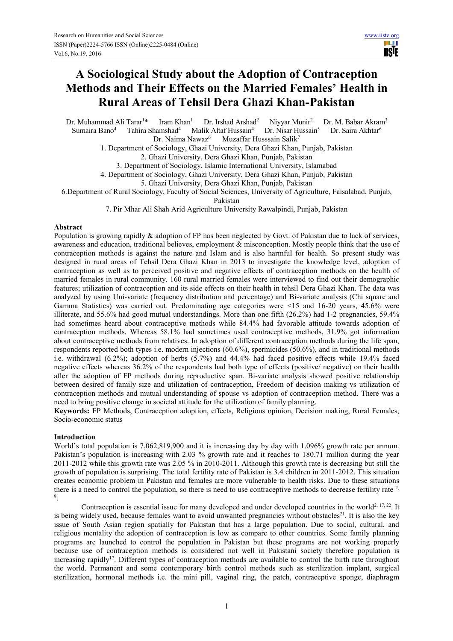# **A Sociological Study about the Adoption of Contraception Methods and Their Effects on the Married Females' Health in Rural Areas of Tehsil Dera Ghazi Khan-Pakistan**

Dr. Muhammad Ali Tarar<sup>1\*</sup> Iram Khan<sup>1</sup> Dr. Irshad Arshad<sup>2</sup> Niyyar Munir<sup>2</sup> Dr. M. Babar Akram<sup>3</sup> Sumaira Bano<sup>4</sup> Tahira Shamshad<sup>4</sup> Malik Altaf Hussain<sup>4</sup> Dr. Nisar Hussain<sup>5</sup> Dr. Saira Akhtar<sup>6</sup>

Dr. Naima Nawaz<sup>6</sup> Muzaffar Husssain Salik<sup>7</sup>

1. Department of Sociology, Ghazi University, Dera Ghazi Khan, Punjab, Pakistan

2. Ghazi University, Dera Ghazi Khan, Punjab, Pakistan

3. Department of Sociology, Islamic International University, Islamabad

4. Department of Sociology, Ghazi University, Dera Ghazi Khan, Punjab, Pakistan

5. Ghazi University, Dera Ghazi Khan, Punjab, Pakistan

6.Department of Rural Sociology, Faculty of Social Sciences, University of Agriculture, Faisalabad, Punjab,

Pakistan

7. Pir Mhar Ali Shah Arid Agriculture University Rawalpindi, Punjab, Pakistan

#### **Abstract**

Population is growing rapidly & adoption of FP has been neglected by Govt. of Pakistan due to lack of services, awareness and education, traditional believes, employment & misconception. Mostly people think that the use of contraception methods is against the nature and Islam and is also harmful for health. So present study was designed in rural areas of Tehsil Dera Ghazi Khan in 2013 to investigate the knowledge level, adoption of contraception as well as to perceived positive and negative effects of contraception methods on the health of married females in rural community. 160 rural married females were interviewed to find out their demographic features; utilization of contraception and its side effects on their health in tehsil Dera Ghazi Khan. The data was analyzed by using Uni-variate (frequency distribution and percentage) and Bi-variate analysis (Chi square and Gamma Statistics) was carried out. Predominating age categories were <15 and 16-20 years, 45.6% were illiterate, and 55.6% had good mutual understandings. More than one fifth (26.2%) had 1-2 pregnancies, 59.4% had sometimes heard about contraceptive methods while 84.4% had favorable attitude towards adoption of contraception methods. Whereas 58.1% had sometimes used contraceptive methods, 31.9% got information about contraceptive methods from relatives. In adoption of different contraception methods during the life span, respondents reported both types i.e. modern injections (60.6%), spermicides (50.6%), and in traditional methods i.e. withdrawal (6.2%); adoption of herbs (5.7%) and 44.4% had faced positive effects while 19.4% faced negative effects whereas 36.2% of the respondents had both type of effects (positive/ negative) on their health after the adoption of FP methods during reproductive span. Bi-variate analysis showed positive relationship between desired of family size and utilization of contraception, Freedom of decision making vs utilization of contraception methods and mutual understanding of spouse vs adoption of contraception method. There was a need to bring positive change in societal attitude for the utilization of family planning.

**Keywords:** FP Methods, Contraception adoption, effects, Religious opinion, Decision making, Rural Females, Socio-economic status

## **Introduction**

World's total population is 7,062,819,900 and it is increasing day by day with 1.096% growth rate per annum. Pakistan's population is increasing with 2.03 % growth rate and it reaches to 180.71 million during the year 2011-2012 while this growth rate was 2.05 % in 2010-2011. Although this growth rate is decreasing but still the growth of population is surprising. The total fertility rate of Pakistan is 3.4 children in 2011-2012. This situation creates economic problem in Pakistan and females are more vulnerable to health risks. Due to these situations there is a need to control the population, so there is need to use contraceptive methods to decrease fertility rate  $2$ , 9 .

Contraception is essential issue for many developed and under developed countries in the world<sup>2, 17, 22</sup>. It is being widely used, because females want to avoid unwanted pregnancies without obstacles<sup>21</sup>. It is also the key issue of South Asian region spatially for Pakistan that has a large population. Due to social, cultural, and religious mentality the adoption of contraception is low as compare to other countries. Some family planning programs are launched to control the population in Pakistan but these programs are not working properly because use of contraception methods is considered not well in Pakistani society therefore population is increasing rapidly<sup>17</sup>. Different types of contraception methods are available to control the birth rate throughout the world. Permanent and some contemporary birth control methods such as sterilization implant, surgical sterilization, hormonal methods i.e. the mini pill, vaginal ring, the patch, contraceptive sponge, diaphragm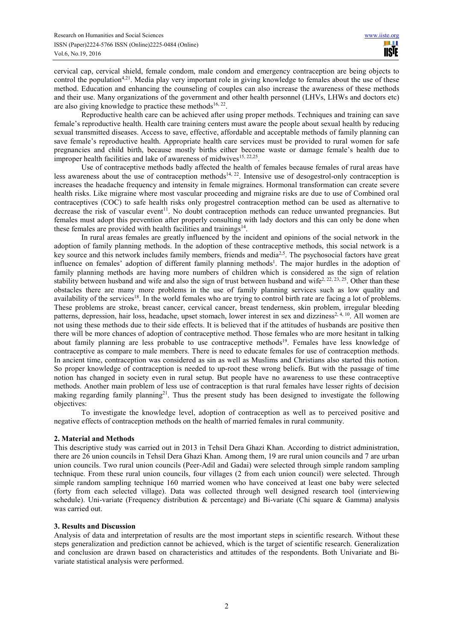cervical cap, cervical shield, female condom, male condom and emergency contraception are being objects to control the population<sup>4,21</sup>. Media play very important role in giving knowledge to females about the use of these method. Education and enhancing the counseling of couples can also increase the awareness of these methods and their use. Many organizations of the government and other health personnel (LHVs, LHWs and doctors etc) are also giving knowledge to practice these methods<sup>16, 22</sup>.

Reproductive health care can be achieved after using proper methods. Techniques and training can save female's reproductive health. Health care training centers must aware the people about sexual health by reducing sexual transmitted diseases. Access to save, effective, affordable and acceptable methods of family planning can save female's reproductive health. Appropriate health care services must be provided to rural women for safe pregnancies and child birth, because mostly births either become waste or damage female's health due to improper health facilities and lake of awareness of midwives<sup>15, 22,25</sup>.

Use of contraceptive methods badly affected the health of females because females of rural areas have less awareness about the use of contraception methods<sup>14, 22</sup>. Intensive use of desogestrol-only contraception is increases the headache frequency and intensity in female migraines. Hormonal transformation can create severe health risks. Like migraine where most vascular proceeding and migraine risks are due to use of Combined oral contraceptives (COC) to safe health risks only progestrel contraception method can be used as alternative to decrease the risk of vascular event<sup>11</sup>. No doubt contraception methods can reduce unwanted pregnancies. But females must adopt this prevention after properly consulting with lady doctors and this can only be done when these females are provided with health facilities and trainings<sup>14</sup>.

In rural areas females are greatly influenced by the incident and opinions of the social network in the adoption of family planning methods. In the adoption of these contraceptive methods, this social network is a key source and this network includes family members, friends and media<sup>2,5</sup>. The psychosocial factors have great influence on females' adoption of different family planning methods<sup>1</sup>. The major hurdles in the adoption of family planning methods are having more numbers of children which is considered as the sign of relation stability between husband and wife and also the sign of trust between husband and wife<sup>2, 22, 23, 25</sup>. Other than these obstacles there are many more problems in the use of family planning services such as low quality and availability of the services<sup>18</sup>. In the world females who are trying to control birth rate are facing a lot of problems. These problems are stroke, breast cancer, cervical cancer, breast tenderness, skin problem, irregular bleeding patterns, depression, hair loss, headache, upset stomach, lower interest in sex and dizziness<sup>2, 4, 10</sup>. All women are not using these methods due to their side effects. It is believed that if the attitudes of husbands are positive then there will be more chances of adoption of contraceptive method. Those females who are more hesitant in talking about family planning are less probable to use contraceptive methods<sup>19</sup>. Females have less knowledge of contraceptive as compare to male members. There is need to educate females for use of contraception methods. In ancient time, contraception was considered as sin as well as Muslims and Christians also started this notion. So proper knowledge of contraception is needed to up-root these wrong beliefs. But with the passage of time notion has changed in society even in rural setup. But people have no awareness to use these contraceptive methods. Another main problem of less use of contraception is that rural females have lesser rights of decision making regarding family planning<sup>21</sup>. Thus the present study has been designed to investigate the following objectives:

To investigate the knowledge level, adoption of contraception as well as to perceived positive and negative effects of contraception methods on the health of married females in rural community.

## **2. Material and Methods**

This descriptive study was carried out in 2013 in Tehsil Dera Ghazi Khan. According to district administration, there are 26 union councils in Tehsil Dera Ghazi Khan. Among them, 19 are rural union councils and 7 are urban union councils. Two rural union councils (Peer-Adil and Gadai) were selected through simple random sampling technique. From these rural union councils, four villages (2 from each union council) were selected. Through simple random sampling technique 160 married women who have conceived at least one baby were selected (forty from each selected village). Data was collected through well designed research tool (interviewing schedule). Uni-variate (Frequency distribution  $\&$  percentage) and Bi-variate (Chi square  $\&$  Gamma) analysis was carried out.

## **3. Results and Discussion**

Analysis of data and interpretation of results are the most important steps in scientific research. Without these steps generalization and prediction cannot be achieved, which is the target of scientific research. Generalization and conclusion are drawn based on characteristics and attitudes of the respondents. Both Univariate and Bivariate statistical analysis were performed.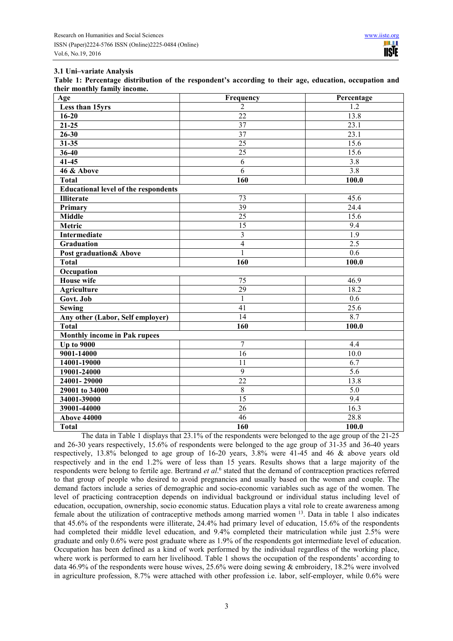#### **3.1 Uni–variate Analysis**

**Table 1: Percentage distribution of the respondent's according to their age, education, occupation and their monthly family income.** 

| Age                                         | Frequency               | Percentage       |
|---------------------------------------------|-------------------------|------------------|
| Less than 15yrs                             | $\overline{2}$          | 1.2              |
| $16 - 20$                                   | $\overline{22}$         | 13.8             |
| $21 - 25$                                   | $\overline{37}$         | 23.1             |
| $26 - 30$                                   | 37                      | 23.1             |
| $31 - 35$                                   | 25                      | 15.6             |
| $36 - 40$                                   | $\overline{25}$         | 15.6             |
| $41 - 45$                                   | $\overline{6}$          | $\overline{3.8}$ |
| 46 & Above                                  | $\overline{6}$          | 3.8              |
| <b>Total</b>                                | 160                     | 100.0            |
| <b>Educational level of the respondents</b> |                         |                  |
| <b>Illiterate</b>                           | 73                      | 45.6             |
| Primary                                     | $\overline{39}$         | 24.4             |
| <b>Middle</b>                               | $\overline{25}$         | 15.6             |
| Metric                                      | 15                      | 9.4              |
| <b>Intermediate</b>                         | $\overline{\mathbf{3}}$ | $\overline{1.9}$ |
| <b>Graduation</b>                           | $\overline{4}$          | $\overline{2.5}$ |
| <b>Post graduation&amp; Above</b>           | $\mathbf{1}$            | 0.6              |
| <b>Total</b>                                | 160                     | 100.0            |
| Occupation                                  |                         |                  |
| <b>House</b> wife                           | 75                      | 46.9             |
| <b>Agriculture</b>                          | 29                      | 18.2             |
| Govt. Job                                   | $\mathbf{1}$            | 0.6              |
| <b>Sewing</b>                               | 41                      | 25.6             |
| Any other (Labor, Self employer)            | $\overline{14}$         | 8.7              |
| <b>Total</b>                                | 160                     | 100.0            |
| <b>Monthly income in Pak rupees</b>         |                         |                  |
| <b>Up to 9000</b>                           | $\overline{7}$          | 4.4              |
| 9001-14000                                  | $\overline{16}$         | 10.0             |
| 14001-19000                                 | $\overline{11}$         | $\overline{6.7}$ |
| 19001-24000                                 | $\overline{9}$          | 5.6              |
| $24001 - 29000$                             | $\overline{22}$         | 13.8             |
| 29001 to 34000                              | $\overline{8}$          | 5.0              |
| 34001-39000                                 | $\overline{15}$         | 9.4              |
| 39001-44000                                 | 26                      | 16.3             |
| <b>Above 44000</b>                          | 46                      | 28.8             |
| <b>Total</b>                                | 160                     | 100.0            |

The data in Table 1 displays that 23.1% of the respondents were belonged to the age group of the 21-25 and 26-30 years respectively, 15.6% of respondents were belonged to the age group of 31-35 and 36-40 years respectively, 13.8% belonged to age group of 16-20 years, 3.8% were 41-45 and 46 & above years old respectively and in the end 1.2% were of less than 15 years. Results shows that a large majority of the respondents were belong to fertile age. Bertrand *et al.*<sup>6</sup> stated that the demand of contraception practices referred to that group of people who desired to avoid pregnancies and usually based on the women and couple. The demand factors include a series of demographic and socio-economic variables such as age of the women. The level of practicing contraception depends on individual background or individual status including level of education, occupation, ownership, socio economic status. Education plays a vital role to create awareness among female about the utilization of contraceptive methods among married women <sup>13</sup>. Data in table 1 also indicates that 45.6% of the respondents were illiterate, 24.4% had primary level of education, 15.6% of the respondents had completed their middle level education, and 9.4% completed their matriculation while just 2.5% were graduate and only 0.6% were post graduate where as 1.9% of the respondents got intermediate level of education. Occupation has been defined as a kind of work performed by the individual regardless of the working place, where work is performed to earn her livelihood. Table 1 shows the occupation of the respondents' according to data 46.9% of the respondents were house wives, 25.6% were doing sewing & embroidery, 18.2% were involved in agriculture profession, 8.7% were attached with other profession i.e. labor, self-employer, while 0.6% were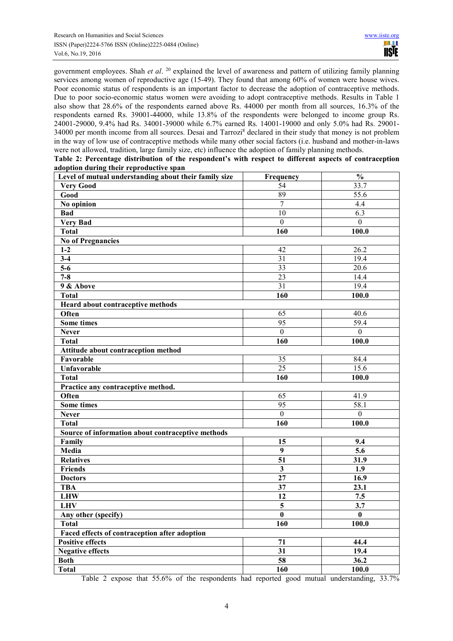government employees. Shah *et al*. <sup>20</sup> explained the level of awareness and pattern of utilizing family planning services among women of reproductive age (15-49). They found that among 60% of women were house wives. Poor economic status of respondents is an important factor to decrease the adoption of contraceptive methods. Due to poor socio-economic status women were avoiding to adopt contraceptive methods. Results in Table 1 also show that 28.6% of the respondents earned above Rs. 44000 per month from all sources, 16.3% of the respondents earned Rs. 39001-44000, while 13.8% of the respondents were belonged to income group Rs. 24001-29000, 9.4% had Rs. 34001-39000 while 6.7% earned Rs. 14001-19000 and only 5.0% had Rs. 29001- 34000 per month income from all sources. Desai and Tarrozi<sup>8</sup> declared in their study that money is not problem in the way of low use of contraceptive methods while many other social factors (i.e. husband and mother-in-laws were not allowed, tradition, large family size, etc) influence the adoption of family planning methods.

| Table 2: Percentage distribution of the respondent's with respect to different aspects of contraception |                          |  |  |  |  |  |
|---------------------------------------------------------------------------------------------------------|--------------------------|--|--|--|--|--|
| adoption during their reproductive span                                                                 |                          |  |  |  |  |  |
| I ovel of mutual understanding shout their family size                                                  | $\Gamma$ <i>moonomom</i> |  |  |  |  |  |

| Level of mutual understanding about their family size | Frequency               | $\frac{0}{0}$     |  |
|-------------------------------------------------------|-------------------------|-------------------|--|
| <b>Very Good</b>                                      | $\overline{54}$         | 33.7              |  |
| Good                                                  | 89                      | 55.6              |  |
| No opinion                                            | $\overline{7}$          | 4.4               |  |
| <b>Bad</b>                                            | 10                      | 6.3               |  |
| Very Bad                                              | $\mathbf{0}$            | $\boldsymbol{0}$  |  |
| <b>Total</b>                                          | 160                     | 100.0             |  |
| <b>No of Pregnancies</b>                              |                         |                   |  |
| $1-2$                                                 | 42                      | 26.2              |  |
| $3 - 4$                                               | $\overline{31}$         | 19.4              |  |
| $5-6$                                                 | $\overline{33}$         | $\overline{20.6}$ |  |
| $7 - 8$                                               | $\overline{23}$         | 14.4              |  |
| 9 & Above                                             | $\overline{31}$         | 19.4              |  |
| <b>Total</b>                                          | 160                     | 100.0             |  |
| Heard about contraceptive methods                     |                         |                   |  |
| Often                                                 | 65                      | 40.6              |  |
| <b>Some times</b>                                     | $\overline{95}$         | 59.4              |  |
| <b>Never</b>                                          | $\mathbf{0}$            | $\boldsymbol{0}$  |  |
| <b>Total</b>                                          | 160                     | 100.0             |  |
| Attitude about contraception method                   |                         |                   |  |
| Favorable                                             | 35                      | 84.4              |  |
| <b>Unfavorable</b>                                    | $\overline{25}$         | 15.6              |  |
| <b>Total</b>                                          | 160                     | 100.0             |  |
| Practice any contraceptive method.                    |                         |                   |  |
| Often                                                 | 65                      | 41.9              |  |
| <b>Some times</b>                                     | $\overline{95}$         | 58.1              |  |
| <b>Never</b>                                          | $\mathbf{0}$            | $\boldsymbol{0}$  |  |
| <b>Total</b>                                          | 160                     | 100.0             |  |
| Source of information about contraceptive methods     |                         |                   |  |
| Family                                                | 15                      | 9.4               |  |
| Media                                                 | $\overline{9}$          | $\overline{5.6}$  |  |
| <b>Relatives</b>                                      | $\overline{51}$         | 31.9              |  |
| <b>Friends</b>                                        | $\overline{\mathbf{3}}$ | 1.9               |  |
| <b>Doctors</b>                                        | $\overline{27}$         | 16.9              |  |
| <b>TBA</b>                                            | $\overline{37}$         | 23.1              |  |
| <b>LHW</b>                                            | 12                      | 7.5               |  |
| <b>LHV</b>                                            | 5                       | 3.7               |  |
| Any other (specify)                                   | $\boldsymbol{0}$        | $\mathbf{0}$      |  |
| <b>Total</b>                                          | 160                     | 100.0             |  |
| Faced effects of contraception after adoption         |                         |                   |  |
| <b>Positive effects</b>                               | 71                      | 44.4              |  |
| <b>Negative effects</b>                               | $\overline{31}$         | 19.4              |  |
| <b>Both</b>                                           | $\overline{58}$         | 36.2              |  |
| <b>Total</b>                                          | 160                     | 100.0             |  |

Table 2 expose that 55.6% of the respondents had reported good mutual understanding, 33.7%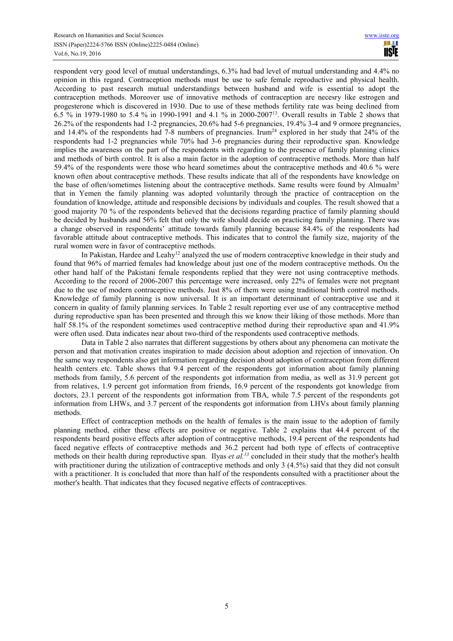respondent very good level of mutual understandings, 6.3% had bad level of mutual understanding and 4.4% no opinion in this regard. Contraception methods must be use to safe female reproductive and physical health. According to past research mutual understandings between husband and wife is essential to adopt the contraception methods. Moreover use of innovative methods of contraception are necesry like estrogen and progesterone which is discovered in 1930. Due to use of these methods fertility rate was being declined from 6.5 % in 1979-1980 to 5.4 % in 1990-1991 and 4.1 % in 2000-2007<sup>13</sup>. Overall results in Table 2 shows that 26.2% of the respondents had 1-2 pregnancies, 20.6% had 5-6 pregnancies, 19.4% 3-4 and 9 ormore pregnancies, and 14.4% of the respondents had  $7\text{-}8$  numbers of pregnancies. Irum<sup>24</sup> explored in her study that  $24\%$  of the respondents had 1-2 pregnancies while 70% had 3-6 pregnancies during their reproductive span. Knowledge implies the awareness on the part of the respondents with regarding to the presence of family planning clinics and methods of birth control. It is also a main factor in the adoption of contraceptive methods. More than half 59.4% of the respondents were those who heard sometimes about the contraceptive methods and 40.6 % were known often about contraceptive methods. These results indicate that all of the respondents have knowledge on the base of often/sometimes listening about the contraceptive methods. Same results were found by Almualm<sup>3</sup> that in Yemen the family planning was adopted voluntarily through the practice of contraception on the foundation of knowledge, attitude and responsible decisions by individuals and couples. The result showed that a good majority 70 % of the respondents believed that the decisions regarding practice of family planning should be decided by husbands and 56% felt that only the wife should decide on practicing family planning. There was a change observed in respondents' attitude towards family planning because 84.4% of the respondents had favorable attitude about contraceptive methods. This indicates that to control the family size, majority of the rural women were in favor of contraceptive methods.

In Pakistan, Hardee and Leahy<sup>12</sup> analyzed the use of modern contraceptive knowledge in their study and found that 96% of married females had knowledge about just one of the modern contraceptive methods. On the other hand half of the Pakistani female respondents replied that they were not using contraceptive methods. According to the record of 2006-2007 this percentage were increased, only 22% of females were not pregnant due to the use of modern contraceptive methods. Just 8% of them were using traditional birth control methods. Knowledge of family planning is now universal. It is an important determinant of contraceptive use and it concern in quality of family planning services. In Table 2 result reporting ever use of any contraceptive method during reproductive span has been presented and through this we know their liking of those methods. More than half 58.1% of the respondent sometimes used contraceptive method during their reproductive span and 41.9% were often used. Data indicates near about two-third of the respondents used contraceptive methods.

Data in Table 2 also narrates that different suggestions by others about any phenomena can motivate the person and that motivation creates inspiration to made decision about adoption and rejection of innovation. On the same way respondents also get information regarding decision about adoption of contraception from different health centers etc. Table shows that 9.4 percent of the respondents got information about family planning methods from family, 5.6 percent of the respondents got information from media, as well as 31.9 percent got from relatives, 1.9 percent got information from friends, 16.9 percent of the respondents got knowledge from doctors, 23.1 percent of the respondents got information from TBA, while 7.5 percent of the respondents got information from LHWs, and 3.7 percent of the respondents got information from LHVs about family planning methods.

Effect of contraception methods on the health of females is the main issue to the adoption of family planning method, either these effects are positive or negative. Table 2 explains that 44.4 percent of the respondents beard positive effects after adoption of contraceptive methods, 19.4 percent of the respondents had faced negative effects of contraceptive methods and 36.2 percent had both type of effects of contraceptive methods on their health during reproductive span. Ilyas *et al.*<sup>13</sup> concluded in their study that the mother's health with practitioner during the utilization of contraceptive methods and only 3 (4.5%) said that they did not consult with a practitioner. It is concluded that more than half of the respondents consulted with a practitioner about the mother's health. That indicates that they focused negative effects of contraceptives.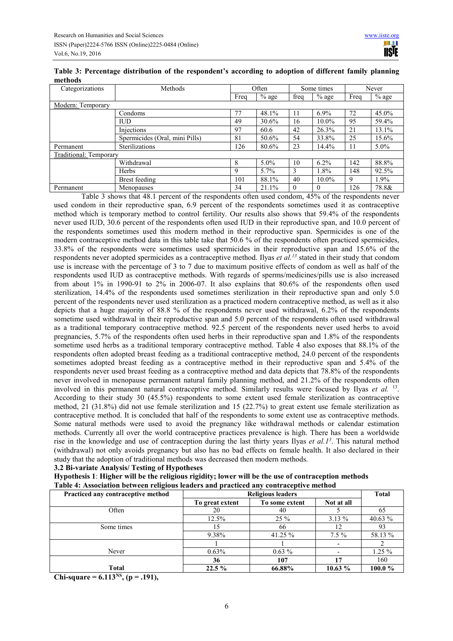| Table 3: Percentage distribution of the respondent's according to adoption of different family planning |  |  |  |
|---------------------------------------------------------------------------------------------------------|--|--|--|
| methods                                                                                                 |  |  |  |

| Categorizations        | Methods                        |      | Often   |          | Some times |      | Never   |  |
|------------------------|--------------------------------|------|---------|----------|------------|------|---------|--|
|                        |                                | Freq | $%$ age | freq     | $%$ age    | Freq | $%$ age |  |
| Modern: Temporary      |                                |      |         |          |            |      |         |  |
|                        | Condoms                        | 77   | 48.1%   | 11       | $6.9\%$    | 72   | 45.0%   |  |
|                        | $\mathbf{I}$                   | 49   | 30.6%   | 16       | $10.0\%$   | 95   | 59.4%   |  |
|                        | Injections                     | 97   | 60.6    | 42       | 26.3%      | 21   | 13.1%   |  |
|                        | Spermicides (Oral, mini Pills) | 81   | 50.6%   | 54       | 33.8%      | 25   | 15.6%   |  |
| Permanent              | Sterilizations                 | 126  | 80.6%   | 23       | 14.4%      | 11   | $5.0\%$ |  |
| Traditional: Temporary |                                |      |         |          |            |      |         |  |
|                        | Withdrawal                     | 8    | $5.0\%$ | 10       | $6.2\%$    | 142  | 88.8%   |  |
|                        | <b>Herbs</b>                   | 9    | $5.7\%$ |          | 1.8%       | 148  | 92.5%   |  |
|                        | Brest feeding                  | 101  | 88.1%   | 40       | $10.0\%$   | 9    | 1.9%    |  |
| Permanent              | Menopauses                     | 34   | 21.1%   | $\Omega$ | $\Omega$   | 126  | 78.8&   |  |

Table 3 shows that 48.1 percent of the respondents often used condom, 45% of the respondents never used condom in their reproductive span, 6.9 percent of the respondents sometimes used it as contraceptive method which is temporary method to control fertility. Our results also shows that 59.4% of the respondents never used IUD, 30.6 percent of the respondents often used IUD in their reproductive span, and 10.0 percent of the respondents sometimes used this modern method in their reproductive span. Spermicides is one of the modern contraceptive method data in this table take that 50.6 % of the respondents often practiced spermicides, 33.8% of the respondents were sometimes used spermicides in their reproductive span and 15.6% of the respondents never adopted spermicides as a contraceptive method. Ilyas *et al.<sup>13</sup>* stated in their study that condom use is increase with the percentage of 3 to 7 due to maximum positive effects of condom as well as half of the respondents used IUD as contraceptive methods. With regards of sperms/medicines/pills use is also increased from about 1% in 1990-91 to 2% in 2006-07. It also explains that 80.6% of the respondents often used sterilization, 14.4% of the respondents used sometimes sterilization in their reproductive span and only 5.0 percent of the respondents never used sterilization as a practiced modern contraceptive method, as well as it also depicts that a huge majority of 88.8 % of the respondents never used withdrawal, 6.2% of the respondents sometime used withdrawal in their reproductive span and 5.0 percent of the respondents often used withdrawal as a traditional temporary contraceptive method. 92.5 percent of the respondents never used herbs to avoid pregnancies, 5.7% of the respondents often used herbs in their reproductive span and 1.8% of the respondents sometime used herbs as a traditional temporary contraceptive method. Table 4 also exposes that 88.1% of the respondents often adopted breast feeding as a traditional contraceptive method, 24.0 percent of the respondents sometimes adopted breast feeding as a contraceptive method in their reproductive span and 5.4% of the respondents never used breast feeding as a contraceptive method and data depicts that 78.8% of the respondents never involved in menopause permanent natural family planning method, and 21.2% of the respondents often involved in this permanent natural contraceptive method. Similarly results were focused by Ilyas *et al.* <sup>13</sup> . According to their study 30 (45.5%) respondents to some extent used female sterilization as contraceptive method, 21 (31.8%) did not use female sterilization and 15 (22.7%) to great extent use female sterilization as contraceptive method. It is concluded that half of the respondents to some extent use as contraceptive methods. Some natural methods were used to avoid the pregnancy like withdrawal methods or calendar estimation methods. Currently all over the world contraceptive practices prevalence is high. There has been a worldwide rise in the knowledge and use of contraception during the last thirty years Ilyas *et al.1<sup>3</sup>* . This natural method (withdrawal) not only avoids pregnancy but also has no bad effects on female health. It also declared in their study that the adoption of traditional methods was decreased then modern methods.

**3.2 Bi-variate Analysis/ Testing of Hypotheses** 

**Hypothesis 1**: **Higher will be the religious rigidity; lower will be the use of contraception methods Table 4: Association between religious leaders and practiced any contraceptive method** 

| Practiced any contraceptive method |                 | <b>Religious leaders</b> |            |          |  |  |
|------------------------------------|-----------------|--------------------------|------------|----------|--|--|
|                                    | To great extent | To some extent           | Not at all |          |  |  |
| Often                              | 20              | 40                       |            | 65       |  |  |
|                                    | 12.5%           | $25 \%$                  | $3.13\%$   | 40.63 %  |  |  |
| Some times                         |                 | 66                       |            | 93       |  |  |
|                                    | 9.38%           | 41.25 $%$                | $7.5\%$    | 58.13 %  |  |  |
|                                    |                 |                          |            |          |  |  |
| Never                              | $0.63\%$        | $0.63\%$                 |            | $1.25\%$ |  |  |
|                                    | 36              | 107                      |            | 160      |  |  |
| <b>Total</b>                       | $22.5\%$        | 66.88%                   | 10.63%     | 100.0%   |  |  |

**Chi-square = 6.113NS, (p = .191),**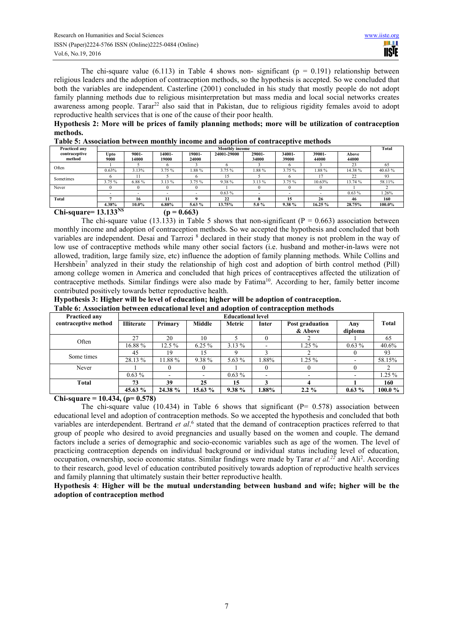The chi-square value (6.113) in Table 4 shows non- significant ( $p = 0.191$ ) relationship between religious leaders and the adoption of contraception methods, so the hypothesis is accepted. So we concluded that both the variables are independent. Casterline (2001) concluded in his study that mostly people do not adopt family planning methods due to religious misinterpretation but mass media and local social networks creates awareness among people. Tarar<sup>22</sup> also said that in Pakistan, due to religious rigidity females avoid to adopt reproductive health services that is one of the cause of their poor health.

**Hypothesis 2: More will be prices of family planning methods; more will be utilization of contraception methods.** 

| <b>Practiced any</b>    |              | <b>Monthly income</b> |                 |                 |             |                 |                 |                 | Total          |             |
|-------------------------|--------------|-----------------------|-----------------|-----------------|-------------|-----------------|-----------------|-----------------|----------------|-------------|
| contraceptive<br>method | Upto<br>9000 | 9001-<br>14000        | 14001-<br>19000 | 19001-<br>24000 | 24001-29000 | 29001-<br>34000 | 34001-<br>39000 | 39001-<br>44000 | Above<br>44000 |             |
| Often                   |              |                       |                 |                 |             |                 |                 |                 |                |             |
|                         | 0.63%        | 3.13%                 | 3.75 %          | .88%            | 3.75 %      | .88%            | $.75\%$         | .88%            | 14.38%         | 40.63%      |
|                         |              |                       |                 |                 |             |                 |                 |                 | $\sim$<br>∠∠   | $^{\Omega}$ |
| Sometimes               | 3.75%        | 6.88%                 | 3.13 %          | 3.75%           | 9.38%       | 3.13%           | 3.75%           | 10.63%          | 13.74 %        | 58.11%      |

Never | 0 | 0 | 0 | 0 | 1 | 0 | 0 | 0 | 1 | 2

**Total 7 16 11 9 22 8 15 26 46 160** 

- - - - 0.63 % - - - 0.63 % 1.26%

**4.38% 10.0% 6.88% 5.63 % 13.75% 5.0 % 9.38 % 16.25 % 28.75% 100.0%** 

**Chi-square= 13.133**<sup>NS</sup> ( $p = 0.663$ )

The chi-square value (13.133) in Table 5 shows that non-significant ( $P = 0.663$ ) association between monthly income and adoption of contraception methods. So we accepted the hypothesis and concluded that both variables are independent. Desai and Tarrozi<sup>8</sup> declared in their study that money is not problem in the way of low use of contraceptive methods while many other social factors (i.e. husband and mother-in-laws were not allowed, tradition, large family size, etc) influence the adoption of family planning methods. While Collins and Hershbein<sup>7</sup> analyzed in their study the relationship of high cost and adoption of birth control method (Pill) among college women in America and concluded that high prices of contraceptives affected the utilization of contraceptive methods. Similar findings were also made by Fatima<sup>10</sup>. According to her, family better income contributed positively towards better reproductive health.

| Hypothesis 3: Higher will be level of education; higher will be adoption of contraception. |  |
|--------------------------------------------------------------------------------------------|--|
| Table 6: Association between educational level and adoption of contraception methods       |  |

| <b>Practiced any</b> | <b>Educational level</b> |          |               |          |       |                            |                          |          |
|----------------------|--------------------------|----------|---------------|----------|-------|----------------------------|--------------------------|----------|
| contraceptive method | <b>Illiterate</b>        | Primary  | <b>Middle</b> | Metric   | Inter | Post graduation<br>& Above | Any<br>diploma           | Total    |
| Often                | 27                       | 20       | 10            |          |       |                            |                          | 65       |
|                      | 16.88%                   | $12.5\%$ | $6.25\%$      | $3.13\%$ |       | $1.25\%$                   | $0.63\%$                 | 40.6%    |
| Some times           | 45                       | 19       | 15            |          |       |                            |                          | 93       |
|                      | 28.13 %                  | 11.88%   | $9.38\%$      | 5.63 %   | 1.88% | $1.25\%$                   | $\overline{\phantom{a}}$ | 58.15%   |
| Never                |                          |          |               |          |       |                            |                          |          |
|                      | $0.63\%$                 |          | ۰.            | $0.63\%$ |       |                            | $\overline{\phantom{a}}$ | $1.25\%$ |
| Total                | 73                       | 39       | 25            | 15       |       |                            |                          | 160      |
|                      | 45.63 %                  | 24.38 %  | 15.63%        | 9.38%    | l.88% | $2.2\%$                    | $0.63\%$                 | 100.0%   |

**Chi-square = 10.434, (p= 0.578)** 

The chi-square value (10.434) in Table 6 shows that significant ( $P = 0.578$ ) association between educational level and adoption of contraception methods. So we accepted the hypothesis and concluded that both variables are interdependent. Bertrand et al.<sup>6</sup> stated that the demand of contraception practices referred to that group of people who desired to avoid pregnancies and usually based on the women and couple. The demand factors include a series of demographic and socio-economic variables such as age of the women. The level of practicing contraception depends on individual background or individual status including level of education, occupation, ownership, socio economic status. Similar findings were made by Tarar *et al.*<sup>22</sup> and Ali<sup>2</sup>. According to their research, good level of education contributed positively towards adoption of reproductive health services and family planning that ultimately sustain their better reproductive health.

**Hypothesis 4**: **Higher will be the mutual understanding between husband and wife; higher will be the adoption of contraception method**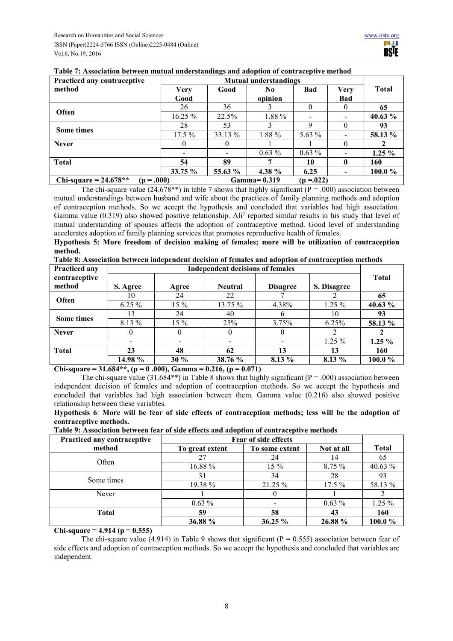| <b>Practiced any contraceptive</b><br><b>Mutual understandings</b> |             |         |               |            |                          |              |
|--------------------------------------------------------------------|-------------|---------|---------------|------------|--------------------------|--------------|
| method                                                             | <b>Very</b> | Good    | No            | Bad        | Very                     | <b>Total</b> |
|                                                                    | Good        |         | opinion       |            | Bad                      |              |
|                                                                    | 26          | 36      |               |            | $\theta$                 | 65           |
| Often                                                              | $16.25 \%$  | 22.5%   | 1.88 %        |            | $\overline{\phantom{a}}$ | 40.63 %      |
| <b>Some times</b>                                                  | 28          | 53      |               | Q          | 0                        | 93           |
|                                                                    | $17.5\%$    | 33.13 % | 1.88 %        | 5.63 $%$   |                          | 58.13 %      |
| <b>Never</b>                                                       | $\theta$    |         |               |            | $\theta$                 |              |
|                                                                    | $\,$        |         | $0.63\%$      | $0.63\%$   | $\overline{\phantom{0}}$ | $1.25\%$     |
| <b>Total</b>                                                       | 54          | 89      |               | 10         | 0                        | 160          |
|                                                                    | 33.75%      | 55.63 % | 4.38 %        | 6.25       | -                        | 100.0%       |
| Chi-square = $24.678**$<br>$(p=.000)$                              |             |         | $Gamma=0.319$ | $(p=.022)$ |                          |              |

## **Table 7: Association between mutual understandings and adoption of contraceptive method**

The chi-square value (24.678\*\*) in table 7 shows that highly significant ( $P = .000$ ) association between mutual understandings between husband and wife about the practices of family planning methods and adoption of contraception methods. So we accept the hypothesis and concluded that variables had high association. Gamma value  $(0.319)$  also showed positive relationship. Ali<sup>2</sup> reported similar results in his study that level of mutual understanding of spouses affects the adoption of contraceptive method. Good level of understanding accelerates adoption of family planning services that promotes reproductive health of females.

**Hypothesis 5: More freedom of decision making of females; more will be utilization of contraception method.**

|  | Table 8: Association between independent decision of females and adoption of contraception methods |  |
|--|----------------------------------------------------------------------------------------------------|--|
|--|----------------------------------------------------------------------------------------------------|--|

| Practiced any     | <b>Independent decisions of females</b> |        |                |                 |             |              |
|-------------------|-----------------------------------------|--------|----------------|-----------------|-------------|--------------|
| contraceptive     |                                         |        |                |                 |             | <b>Total</b> |
| method            | S. Agree                                | Agree  | <b>Neutral</b> | <b>Disagree</b> | S. Disagree |              |
| Often             | 10                                      | 24     | 22             |                 |             | 65           |
|                   | $6.25\%$                                | $15\%$ | 13.75 %        | 4.38%           | $1.25\%$    | 40.63 %      |
| <b>Some times</b> | 13                                      | 24     | 40             |                 | 10          | 93           |
|                   | 8.13 %                                  | $15\%$ | 25%            | 3.75%           | 6.25%       | 58.13 %      |
| <b>Never</b>      |                                         |        |                |                 |             |              |
|                   |                                         |        |                |                 | $1.25 \%$   | $1.25\%$     |
| <b>Total</b>      | 23                                      | 48     | 62             | 13              | 13          | 160          |
|                   | 14.98 %                                 | $30\%$ | 38.76 %        | 8.13 %          | $8.13\%$    | 100.0%       |

**Chi-square = 31.684\*\*, (p = 0 .000), Gamma = 0.216, (p = 0.071)** 

The chi-square value (31.684\*\*) in Table 8 shows that highly significant ( $P = .000$ ) association between independent decision of females and adoption of contraception methods. So we accept the hypothesis and concluded that variables had high association between them. Gamma value (0.216) also showed positive relationship between these variables.

**Hypothesis 6**: **More will be fear of side effects of contraception methods; less will be the adoption of contraceptive methods.** 

| Table 9: Association between fear of side effects and adoption of contraceptive methods |  |  |  |
|-----------------------------------------------------------------------------------------|--|--|--|
|-----------------------------------------------------------------------------------------|--|--|--|

| Practiced any contraceptive | Fear of side effects |                |            |              |
|-----------------------------|----------------------|----------------|------------|--------------|
| method                      | To great extent      | To some extent | Not at all | <b>Total</b> |
| Often                       | 27                   | 24             | 14         | 65           |
|                             | 16.88 %              | $15\%$         | 8.75%      | 40.63 %      |
| Some times                  | 31                   | 34             | 28         | 93           |
|                             | 19.38 %              | 21.25 %        | $17.5\%$   | 58.13 %      |
| Never                       |                      |                |            |              |
|                             | $0.63\%$             |                | $0.63\%$   | 1.25 %       |
| <b>Total</b>                | 59                   | 58             | 43         | 160          |
|                             | 36.88 %              | 36.25 %        | 26.88 %    | 100.0%       |

**Chi-square = 4.914 (p = 0.555)** 

The chi-square value (4.914) in Table 9 shows that significant ( $P = 0.555$ ) association between fear of side effects and adoption of contraception methods. So we accept the hypothesis and concluded that variables are independent.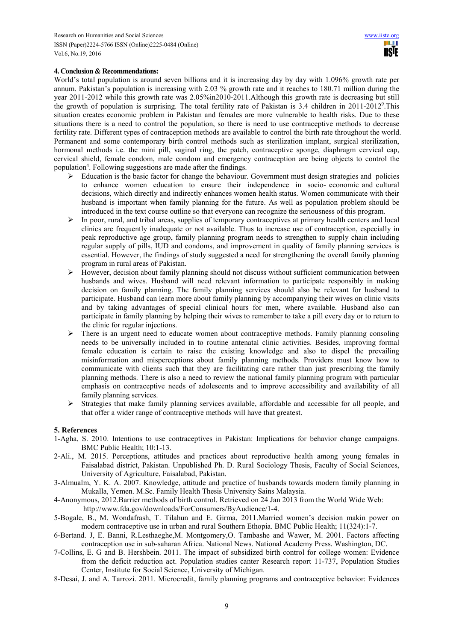## **4. Conclusion & Recommendations:**

World's total population is around seven billions and it is increasing day by day with 1.096% growth rate per annum. Pakistan's population is increasing with 2.03 % growth rate and it reaches to 180.71 million during the year 2011-2012 while this growth rate was 2.05%in2010-2011.Although this growth rate is decreasing but still the growth of population is surprising. The total fertility rate of Pakistan is 3.4 children in 2011-2012<sup>9</sup>. This situation creates economic problem in Pakistan and females are more vulnerable to health risks. Due to these situations there is a need to control the population, so there is need to use contraceptive methods to decrease fertility rate. Different types of contraception methods are available to control the birth rate throughout the world. Permanent and some contemporary birth control methods such as sterilization implant, surgical sterilization, hormonal methods i.e. the mini pill, vaginal ring, the patch, contraceptive sponge, diaphragm cervical cap, cervical shield, female condom, male condom and emergency contraception are being objects to control the population<sup>4</sup>. Following suggestions are made after the findings.

- $\triangleright$  Education is the basic factor for change the behaviour. Government must design strategies and policies to enhance women education to ensure their independence in socio- economic and cultural decisions, which directly and indirectly enhances women health status. Women communicate with their husband is important when family planning for the future. As well as population problem should be introduced in the text course outline so that everyone can recognize the seriousness of this program.
- $\triangleright$  In poor, rural, and tribal areas, supplies of temporary contraceptives at primary health centers and local clinics are frequently inadequate or not available. Thus to increase use of contraception, especially in peak reproductive age group, family planning program needs to strengthen to supply chain including regular supply of pills, IUD and condoms, and improvement in quality of family planning services is essential. However, the findings of study suggested a need for strengthening the overall family planning program in rural areas of Pakistan.
- $\triangleright$  However, decision about family planning should not discuss without sufficient communication between husbands and wives. Husband will need relevant information to participate responsibly in making decision on family planning. The family planning services should also be relevant for husband to participate. Husband can learn more about family planning by accompanying their wives on clinic visits and by taking advantages of special clinical hours for men, where available. Husband also can participate in family planning by helping their wives to remember to take a pill every day or to return to the clinic for regular injections.
- $\triangleright$  There is an urgent need to educate women about contraceptive methods. Family planning consoling needs to be universally included in to routine antenatal clinic activities. Besides, improving formal female education is certain to raise the existing knowledge and also to dispel the prevailing misinformation and misperceptions about family planning methods. Providers must know how to communicate with clients such that they are facilitating care rather than just prescribing the family planning methods. There is also a need to review the national family planning program with particular emphasis on contraceptive needs of adolescents and to improve accessibility and availability of all family planning services.
- $\triangleright$  Strategies that make family planning services available, affordable and accessible for all people, and that offer a wider range of contraceptive methods will have that greatest.

## **5. References**

- 1-Agha, S. 2010. Intentions to use contraceptives in Pakistan: Implications for behavior change campaigns. BMC Public Health; 10:1-13.
- 2-Ali., M. 2015. Perceptions, attitudes and practices about reproductive health among young females in Faisalabad district, Pakistan. Unpublished Ph. D. Rural Sociology Thesis, Faculty of Social Sciences, University of Agriculture, Faisalabad, Pakistan.
- 3-Almualm, Y. K. A. 2007. Knowledge, attitude and practice of husbands towards modern family planning in Mukalla, Yemen. M.Sc. Family Health Thesis University Sains Malaysia.
- 4-Anonymous, 2012.Barrier methods of birth control. Retrieved on 24 Jan 2013 from the World Wide Web: http://www.fda.gov/downloads/ForConsumers/ByAudience/1-4.
- 5-Bogale, B., M. Wondafrash, T. Tilahun and E. Girma, 2011.Married women's decision makin power on modern contraceptive use in urban and rural Southern Ethopia. BMC Public Health; 11(324):1-7.
- 6-Bertand. J, E. Banni, R.Lesthaeghe,M. Montgomery,O. Tambashe and Wawer, M. 2001. Factors affecting contraception use in sub-saharan Africa. National News. National Academy Press. Washington, DC.
- 7-Collins, E. G and B. Hershbein. 2011. The impact of subsidized birth control for college women: Evidence from the deficit reduction act. Population studies canter Research report 11-737, Population Studies Center, Institute for Social Science, University of Michigan.
- 8-Desai, J. and A. Tarrozi. 2011. Microcredit, family planning programs and contraceptive behavior: Evidences